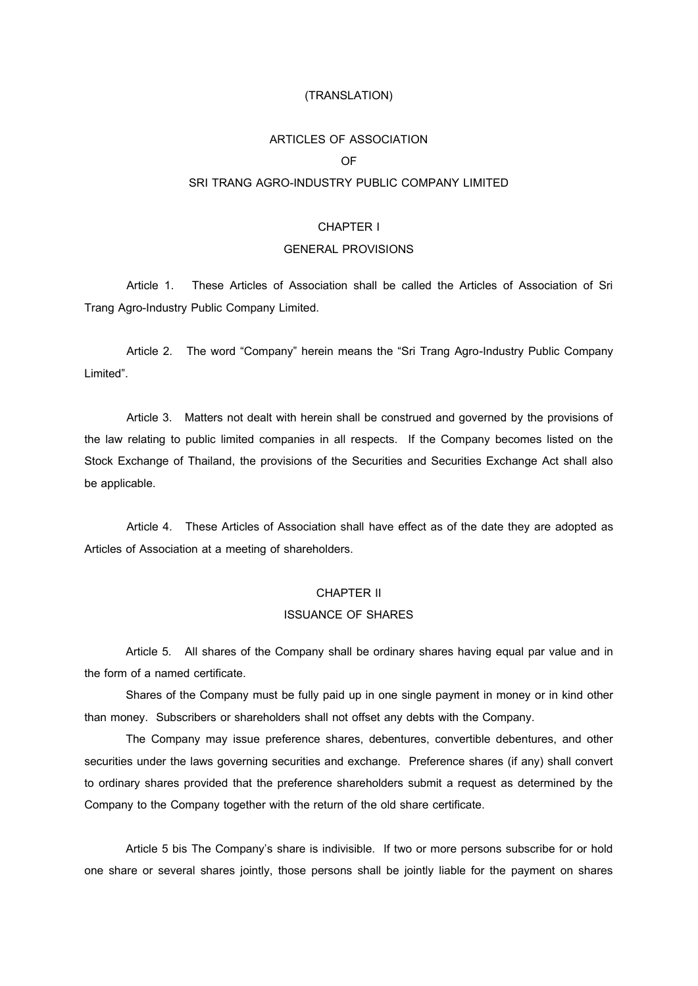### (TRANSLATION)

### ARTICLES OF ASSOCIATION

### OF

### SRI TRANG AGRO-INDUSTRY PUBLIC COMPANY LIMITED

### CHAPTER I

### GENERAL PROVISIONS

Article 1. These Articles of Association shall be called the Articles of Association of Sri Trang Agro-Industry Public Company Limited.

Article 2. The word "Company" herein means the "Sri Trang Agro-Industry Public Company Limited".

Article 3. Matters not dealt with herein shall be construed and governed by the provisions of the law relating to public limited companies in all respects. If the Company becomes listed on the Stock Exchange of Thailand, the provisions of the Securities and Securities Exchange Act shall also be applicable.

Article 4. These Articles of Association shall have effect as of the date they are adopted as Articles of Association at a meeting of shareholders.

#### CHAPTER II

#### ISSUANCE OF SHARES

Article 5. All shares of the Company shall be ordinary shares having equal par value and in the form of a named certificate.

Shares of the Company must be fully paid up in one single payment in money or in kind other than money. Subscribers or shareholders shall not offset any debts with the Company.

The Company may issue preference shares, debentures, convertible debentures, and other securities under the laws governing securities and exchange. Preference shares (if any) shall convert to ordinary shares provided that the preference shareholders submit a request as determined by the Company to the Company together with the return of the old share certificate.

Article 5 bis The Company's share is indivisible. If two or more persons subscribe for or hold one share or several shares jointly, those persons shall be jointly liable for the payment on shares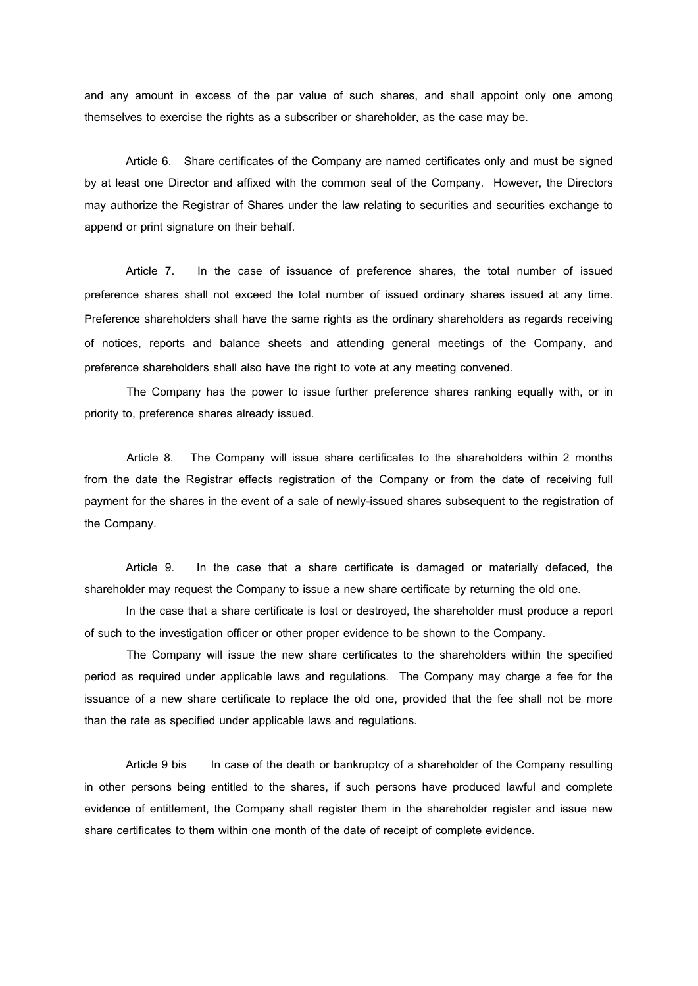and any amount in excess of the par value of such shares, and shall appoint only one among themselves to exercise the rights as a subscriber or shareholder, as the case may be.

Article 6. Share certificates of the Company are named certificates only and must be signed by at least one Director and affixed with the common seal of the Company. However, the Directors may authorize the Registrar of Shares under the law relating to securities and securities exchange to append or print signature on their behalf.

Article 7. In the case of issuance of preference shares, the total number of issued preference shares shall not exceed the total number of issued ordinary shares issued at any time. Preference shareholders shall have the same rights as the ordinary shareholders as regards receiving of notices, reports and balance sheets and attending general meetings of the Company, and preference shareholders shall also have the right to vote at any meeting convened.

The Company has the power to issue further preference shares ranking equally with, or in priority to, preference shares already issued.

Article 8. The Company will issue share certificates to the shareholders within 2 months from the date the Registrar effects registration of the Company or from the date of receiving full payment for the shares in the event of a sale of newly-issued shares subsequent to the registration of the Company.

Article 9. In the case that a share certificate is damaged or materially defaced, the shareholder may request the Company to issue a new share certificate by returning the old one.

In the case that a share certificate is lost or destroyed, the shareholder must produce a report of such to the investigation officer or other proper evidence to be shown to the Company.

The Company will issue the new share certificates to the shareholders within the specified period as required under applicable laws and regulations. The Company may charge a fee for the issuance of a new share certificate to replace the old one, provided that the fee shall not be more than the rate as specified under applicable laws and regulations.

Article 9 bis In case of the death or bankruptcy of a shareholder of the Company resulting in other persons being entitled to the shares, if such persons have produced lawful and complete evidence of entitlement, the Company shall register them in the shareholder register and issue new share certificates to them within one month of the date of receipt of complete evidence.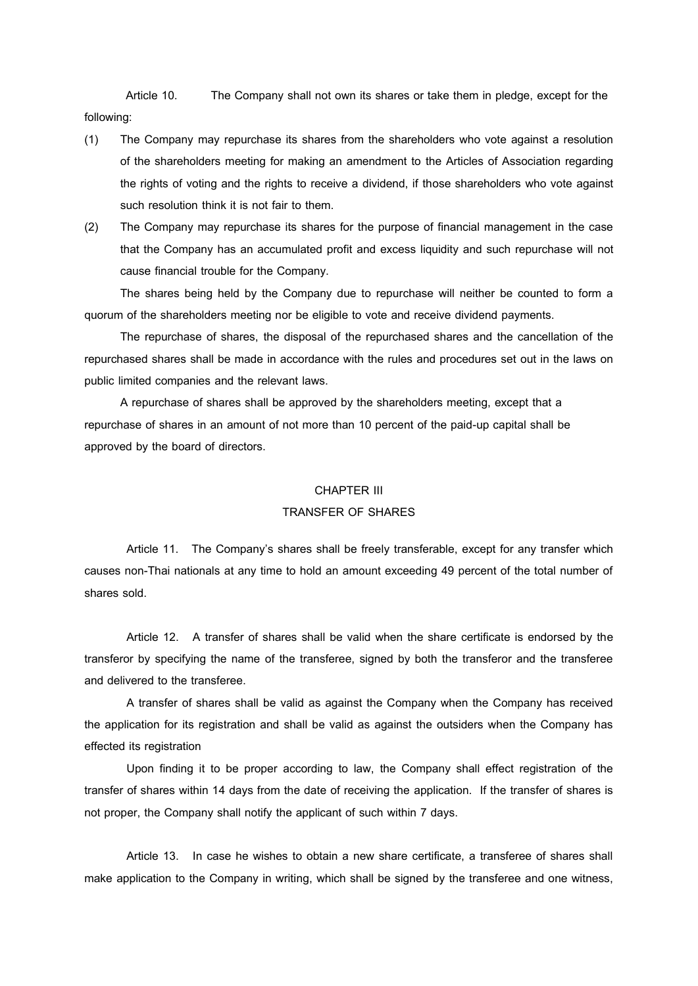Article 10. The Company shall not own its shares or take them in pledge, except for the following:

- (1) The Company may repurchase its shares from the shareholders who vote against a resolution of the shareholders meeting for making an amendment to the Articles of Association regarding the rights of voting and the rights to receive a dividend, if those shareholders who vote against such resolution think it is not fair to them.
- (2) The Company may repurchase its shares for the purpose of financial management in the case that the Company has an accumulated profit and excess liquidity and such repurchase will not cause financial trouble for the Company.

The shares being held by the Company due to repurchase will neither be counted to form a quorum of the shareholders meeting nor be eligible to vote and receive dividend payments.

The repurchase of shares, the disposal of the repurchased shares and the cancellation of the repurchased shares shall be made in accordance with the rules and procedures set out in the laws on public limited companies and the relevant laws.

A repurchase of shares shall be approved by the shareholders meeting, except that a repurchase of shares in an amount of not more than 10 percent of the paid-up capital shall be approved by the board of directors.

#### CHAPTER III

### TRANSFER OF SHARES

Article 11. The Company's shares shall be freely transferable, except for any transfer which causes non-Thai nationals at any time to hold an amount exceeding 49 percent of the total number of shares sold.

Article 12. A transfer of shares shall be valid when the share certificate is endorsed by the transferor by specifying the name of the transferee, signed by both the transferor and the transferee and delivered to the transferee.

A transfer of shares shall be valid as against the Company when the Company has received the application for its registration and shall be valid as against the outsiders when the Company has effected its registration

Upon finding it to be proper according to law, the Company shall effect registration of the transfer of shares within 14 days from the date of receiving the application. If the transfer of shares is not proper, the Company shall notify the applicant of such within 7 days.

Article 13. In case he wishes to obtain a new share certificate, a transferee of shares shall make application to the Company in writing, which shall be signed by the transferee and one witness,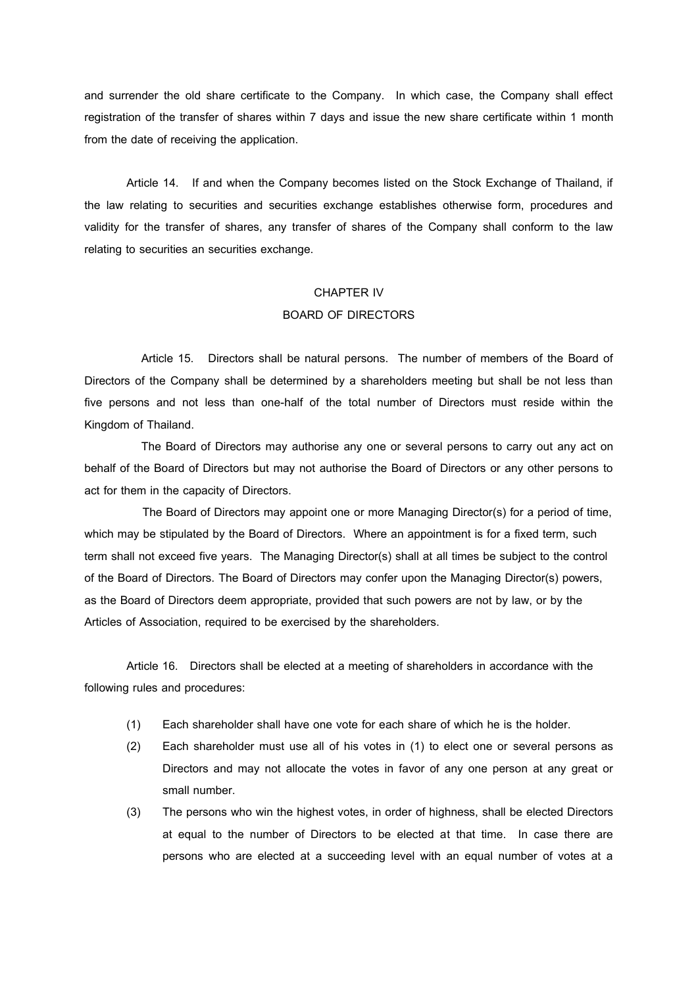and surrender the old share certificate to the Company. In which case, the Company shall effect registration of the transfer of shares within 7 days and issue the new share certificate within 1 month from the date of receiving the application.

Article 14. If and when the Company becomes listed on the Stock Exchange of Thailand, if the law relating to securities and securities exchange establishes otherwise form, procedures and validity for the transfer of shares, any transfer of shares of the Company shall conform to the law relating to securities an securities exchange.

### CHAPTER IV

# BOARD OF DIRECTORS

Article 15. Directors shall be natural persons. The number of members of the Board of Directors of the Company shall be determined by a shareholders meeting but shall be not less than five persons and not less than one-half of the total number of Directors must reside within the Kingdom of Thailand.

The Board of Directors may authorise any one or several persons to carry out any act on behalf of the Board of Directors but may not authorise the Board of Directors or any other persons to act for them in the capacity of Directors.

The Board of Directors may appoint one or more Managing Director(s) for a period of time, which may be stipulated by the Board of Directors. Where an appointment is for a fixed term, such term shall not exceed five years. The Managing Director(s) shall at all times be subject to the control of the Board of Directors. The Board of Directors may confer upon the Managing Director(s) powers, as the Board of Directors deem appropriate, provided that such powers are not by law, or by the Articles of Association, required to be exercised by the shareholders.

Article 16. Directors shall be elected at a meeting of shareholders in accordance with the following rules and procedures:

- (1) Each shareholder shall have one vote for each share of which he is the holder.
- (2) Each shareholder must use all of his votes in (1) to elect one or several persons as Directors and may not allocate the votes in favor of any one person at any great or small number.
- (3) The persons who win the highest votes, in order of highness, shall be elected Directors at equal to the number of Directors to be elected at that time. In case there are persons who are elected at a succeeding level with an equal number of votes at a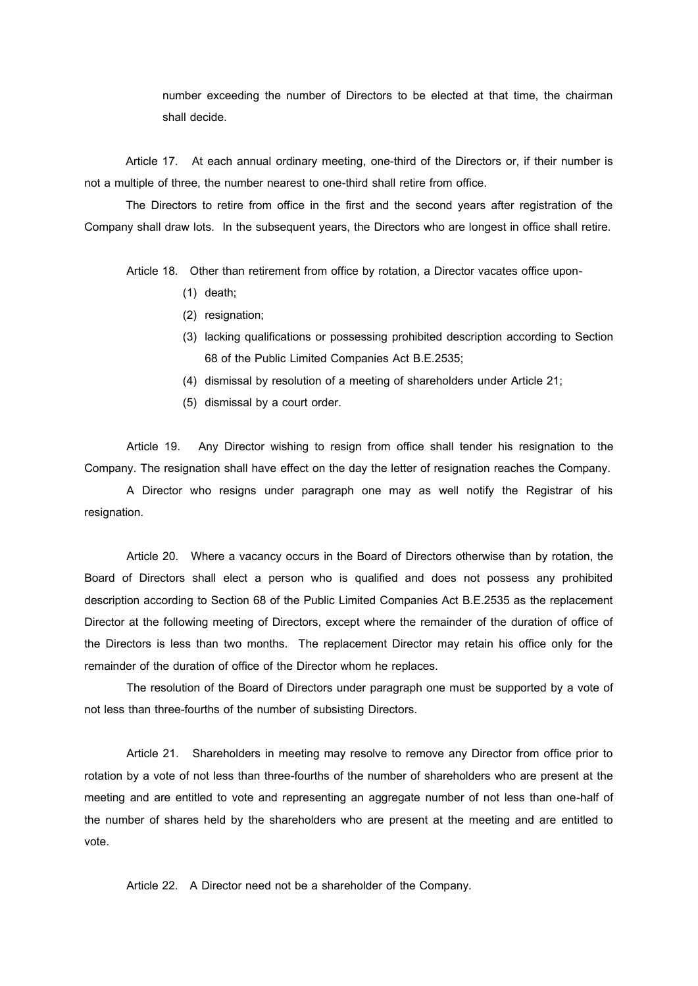number exceeding the number of Directors to be elected at that time, the chairman shall decide.

Article 17. At each annual ordinary meeting, one-third of the Directors or, if their number is not a multiple of three, the number nearest to one-third shall retire from office.

The Directors to retire from office in the first and the second years after registration of the Company shall draw lots. In the subsequent years, the Directors who are longest in office shall retire.

Article 18. Other than retirement from office by rotation, a Director vacates office upon-

- (1) death;
- (2) resignation;
- (3) lacking qualifications or possessing prohibited description according to Section 68 of the Public Limited Companies Act B.E.2535;
- (4) dismissal by resolution of a meeting of shareholders under Article 21;
- (5) dismissal by a court order.

Article 19. Any Director wishing to resign from office shall tender his resignation to the Company. The resignation shall have effect on the day the letter of resignation reaches the Company.

A Director who resigns under paragraph one may as well notify the Registrar of his resignation.

Article 20. Where a vacancy occurs in the Board of Directors otherwise than by rotation, the Board of Directors shall elect a person who is qualified and does not possess any prohibited description according to Section 68 of the Public Limited Companies Act B.E.2535 as the replacement Director at the following meeting of Directors, except where the remainder of the duration of office of the Directors is less than two months. The replacement Director may retain his office only for the remainder of the duration of office of the Director whom he replaces.

The resolution of the Board of Directors under paragraph one must be supported by a vote of not less than three-fourths of the number of subsisting Directors.

Article 21. Shareholders in meeting may resolve to remove any Director from office prior to rotation by a vote of not less than three-fourths of the number of shareholders who are present at the meeting and are entitled to vote and representing an aggregate number of not less than one-half of the number of shares held by the shareholders who are present at the meeting and are entitled to vote.

Article 22. A Director need not be a shareholder of the Company.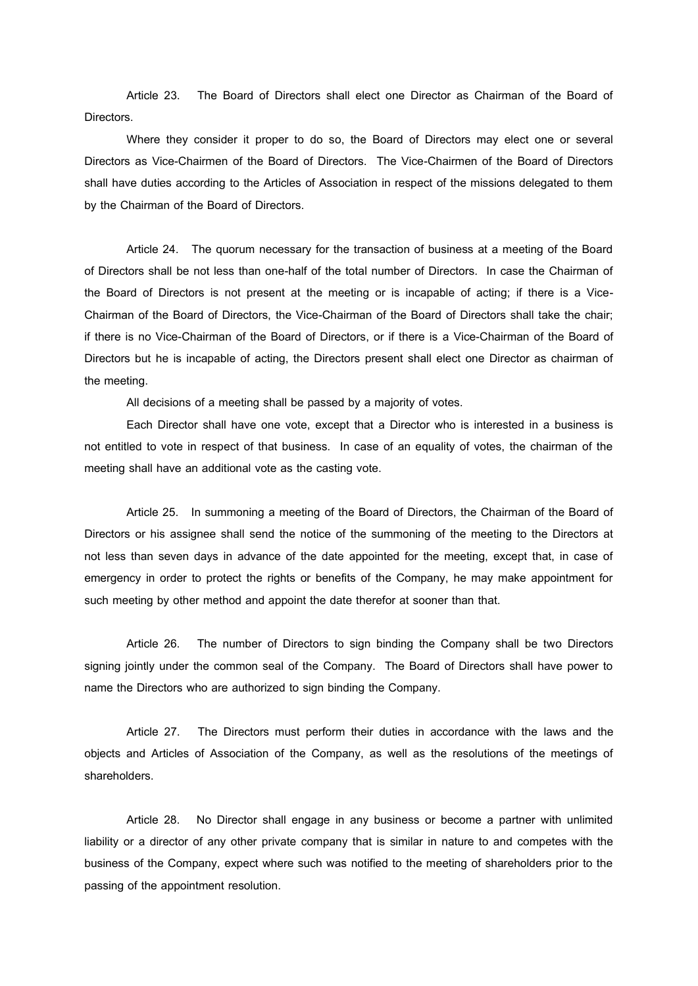Article 23. The Board of Directors shall elect one Director as Chairman of the Board of Directors.

Where they consider it proper to do so, the Board of Directors may elect one or several Directors as Vice-Chairmen of the Board of Directors. The Vice-Chairmen of the Board of Directors shall have duties according to the Articles of Association in respect of the missions delegated to them by the Chairman of the Board of Directors.

Article 24. The quorum necessary for the transaction of business at a meeting of the Board of Directors shall be not less than one-half of the total number of Directors. In case the Chairman of the Board of Directors is not present at the meeting or is incapable of acting; if there is a Vice-Chairman of the Board of Directors, the Vice-Chairman of the Board of Directors shall take the chair; if there is no Vice-Chairman of the Board of Directors, or if there is a Vice-Chairman of the Board of Directors but he is incapable of acting, the Directors present shall elect one Director as chairman of the meeting.

All decisions of a meeting shall be passed by a majority of votes.

Each Director shall have one vote, except that a Director who is interested in a business is not entitled to vote in respect of that business. In case of an equality of votes, the chairman of the meeting shall have an additional vote as the casting vote.

Article 25. In summoning a meeting of the Board of Directors, the Chairman of the Board of Directors or his assignee shall send the notice of the summoning of the meeting to the Directors at not less than seven days in advance of the date appointed for the meeting, except that, in case of emergency in order to protect the rights or benefits of the Company, he may make appointment for such meeting by other method and appoint the date therefor at sooner than that.

Article 26. The number of Directors to sign binding the Company shall be two Directors signing jointly under the common seal of the Company. The Board of Directors shall have power to name the Directors who are authorized to sign binding the Company.

Article 27. The Directors must perform their duties in accordance with the laws and the objects and Articles of Association of the Company, as well as the resolutions of the meetings of shareholders.

Article 28. No Director shall engage in any business or become a partner with unlimited liability or a director of any other private company that is similar in nature to and competes with the business of the Company, expect where such was notified to the meeting of shareholders prior to the passing of the appointment resolution.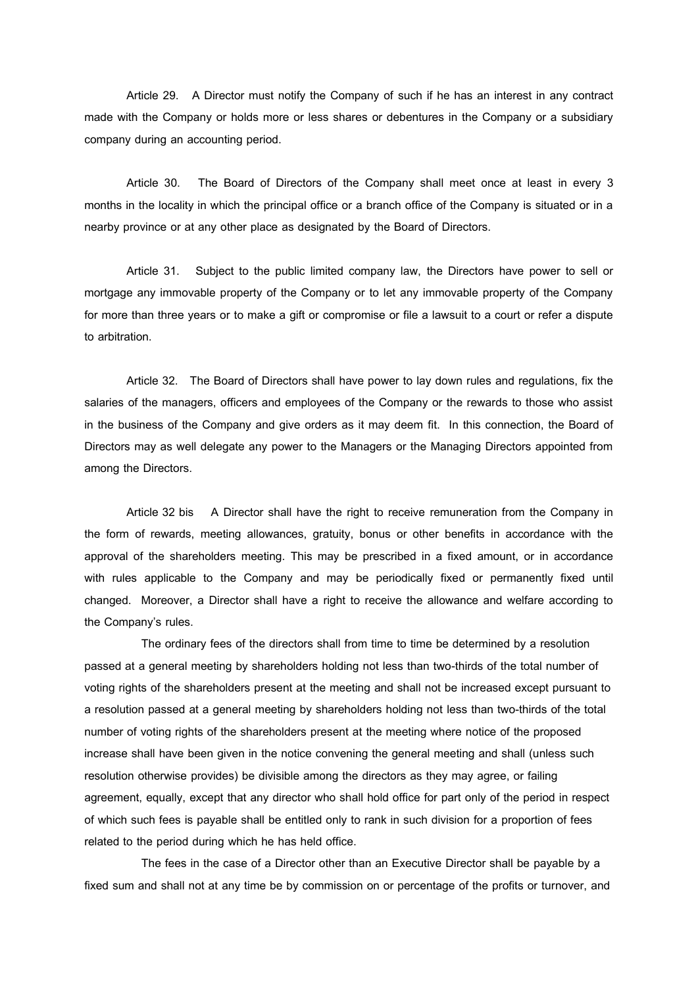Article 29. A Director must notify the Company of such if he has an interest in any contract made with the Company or holds more or less shares or debentures in the Company or a subsidiary company during an accounting period.

Article 30. The Board of Directors of the Company shall meet once at least in every 3 months in the locality in which the principal office or a branch office of the Company is situated or in a nearby province or at any other place as designated by the Board of Directors.

Article 31. Subject to the public limited company law, the Directors have power to sell or mortgage any immovable property of the Company or to let any immovable property of the Company for more than three years or to make a gift or compromise or file a lawsuit to a court or refer a dispute to arbitration.

Article 32. The Board of Directors shall have power to lay down rules and regulations, fix the salaries of the managers, officers and employees of the Company or the rewards to those who assist in the business of the Company and give orders as it may deem fit. In this connection, the Board of Directors may as well delegate any power to the Managers or the Managing Directors appointed from among the Directors.

Article 32 bis A Director shall have the right to receive remuneration from the Company in the form of rewards, meeting allowances, gratuity, bonus or other benefits in accordance with the approval of the shareholders meeting. This may be prescribed in a fixed amount, or in accordance with rules applicable to the Company and may be periodically fixed or permanently fixed until changed. Moreover, a Director shall have a right to receive the allowance and welfare according to the Company's rules.

The ordinary fees of the directors shall from time to time be determined by a resolution passed at a general meeting by shareholders holding not less than two-thirds of the total number of voting rights of the shareholders present at the meeting and shall not be increased except pursuant to a resolution passed at a general meeting by shareholders holding not less than two-thirds of the total number of voting rights of the shareholders present at the meeting where notice of the proposed increase shall have been given in the notice convening the general meeting and shall (unless such resolution otherwise provides) be divisible among the directors as they may agree, or failing agreement, equally, except that any director who shall hold office for part only of the period in respect of which such fees is payable shall be entitled only to rank in such division for a proportion of fees related to the period during which he has held office.

The fees in the case of a Director other than an Executive Director shall be payable by a fixed sum and shall not at any time be by commission on or percentage of the profits or turnover, and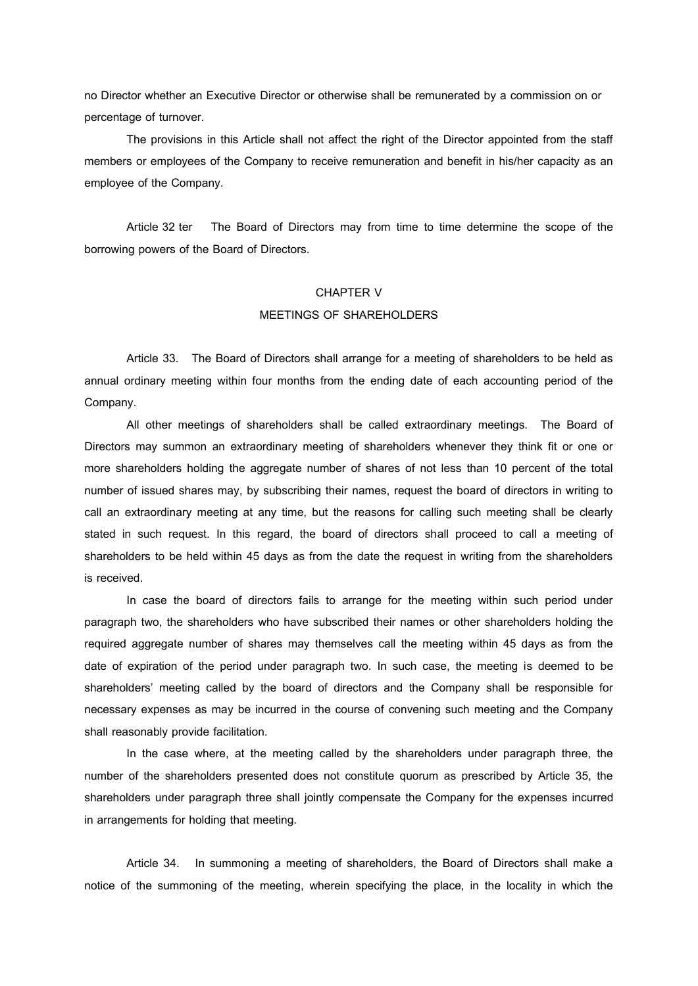no Director whether an Executive Director or otherwise shall be remunerated by a commission on or percentage of turnover.

The provisions in this Article shall not affect the right of the Director appointed from the staff members or employees of the Company to receive remuneration and benefit in his/her capacity as an employee of the Company.

Article 32 ter The Board of Directors may from time to time determine the scope of the borrowing powers of the Board of Directors.

### CHAPTER V

# MEETINGS OF SHAREHOLDERS

Article 33. The Board of Directors shall arrange for a meeting of shareholders to be held as annual ordinary meeting within four months from the ending date of each accounting period of the Company.

All other meetings of shareholders shall be called extraordinary meetings. The Board of Directors may summon an extraordinary meeting of shareholders whenever they think fit or one or more shareholders holding the aggregate number of shares of not less than 10 percent of the total number of issued shares may, by subscribing their names, request the board of directors in writing to call an extraordinary meeting at any time, but the reasons for calling such meeting shall be clearly stated in such request. In this regard, the board of directors shall proceed to call a meeting of shareholders to be held within 45 days as from the date the request in writing from the shareholders is received.

In case the board of directors fails to arrange for the meeting within such period under paragraph two, the shareholders who have subscribed their names or other shareholders holding the required aggregate number of shares may themselves call the meeting within 45 days as from the date of expiration of the period under paragraph two. In such case, the meeting is deemed to be shareholders' meeting called by the board of directors and the Company shall be responsible for necessary expenses as may be incurred in the course of convening such meeting and the Company shall reasonably provide facilitation.

In the case where, at the meeting called by the shareholders under paragraph three, the number of the shareholders presented does not constitute quorum as prescribed by Article 35, the shareholders under paragraph three shall jointly compensate the Company for the expenses incurred in arrangements for holding that meeting.

Article 34. In summoning a meeting of shareholders, the Board of Directors shall make a notice of the summoning of the meeting, wherein specifying the place, in the locality in which the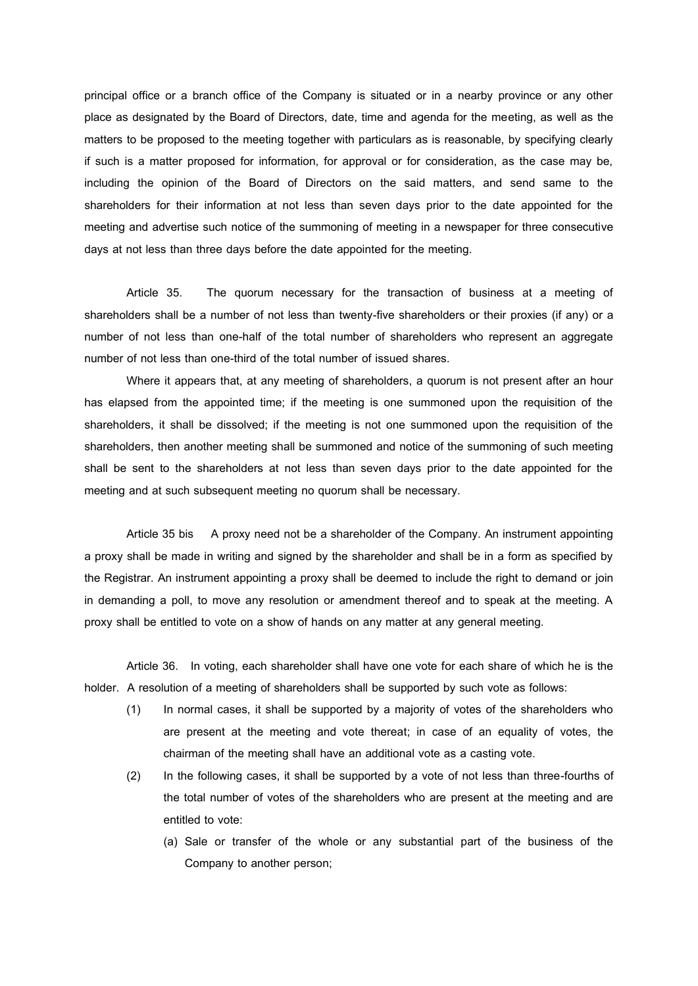principal office or a branch office of the Company is situated or in a nearby province or any other place as designated by the Board of Directors, date, time and agenda for the meeting, as well as the matters to be proposed to the meeting together with particulars as is reasonable, by specifying clearly if such is a matter proposed for information, for approval or for consideration, as the case may be, including the opinion of the Board of Directors on the said matters, and send same to the shareholders for their information at not less than seven days prior to the date appointed for the meeting and advertise such notice of the summoning of meeting in a newspaper for three consecutive days at not less than three days before the date appointed for the meeting.

Article 35. The quorum necessary for the transaction of business at a meeting of shareholders shall be a number of not less than twenty-five shareholders or their proxies (if any) or a number of not less than one-half of the total number of shareholders who represent an aggregate number of not less than one-third of the total number of issued shares.

Where it appears that, at any meeting of shareholders, a quorum is not present after an hour has elapsed from the appointed time; if the meeting is one summoned upon the requisition of the shareholders, it shall be dissolved; if the meeting is not one summoned upon the requisition of the shareholders, then another meeting shall be summoned and notice of the summoning of such meeting shall be sent to the shareholders at not less than seven days prior to the date appointed for the meeting and at such subsequent meeting no quorum shall be necessary.

Article 35 bis A proxy need not be a shareholder of the Company. An instrument appointing a proxy shall be made in writing and signed by the shareholder and shall be in a form as specified by the Registrar. An instrument appointing a proxy shall be deemed to include the right to demand or join in demanding a poll, to move any resolution or amendment thereof and to speak at the meeting. A proxy shall be entitled to vote on a show of hands on any matter at any general meeting.

Article 36. In voting, each shareholder shall have one vote for each share of which he is the holder. A resolution of a meeting of shareholders shall be supported by such vote as follows:

- (1) In normal cases, it shall be supported by a majority of votes of the shareholders who are present at the meeting and vote thereat; in case of an equality of votes, the chairman of the meeting shall have an additional vote as a casting vote.
- (2) In the following cases, it shall be supported by a vote of not less than three-fourths of the total number of votes of the shareholders who are present at the meeting and are entitled to vote:
	- (a) Sale or transfer of the whole or any substantial part of the business of the Company to another person;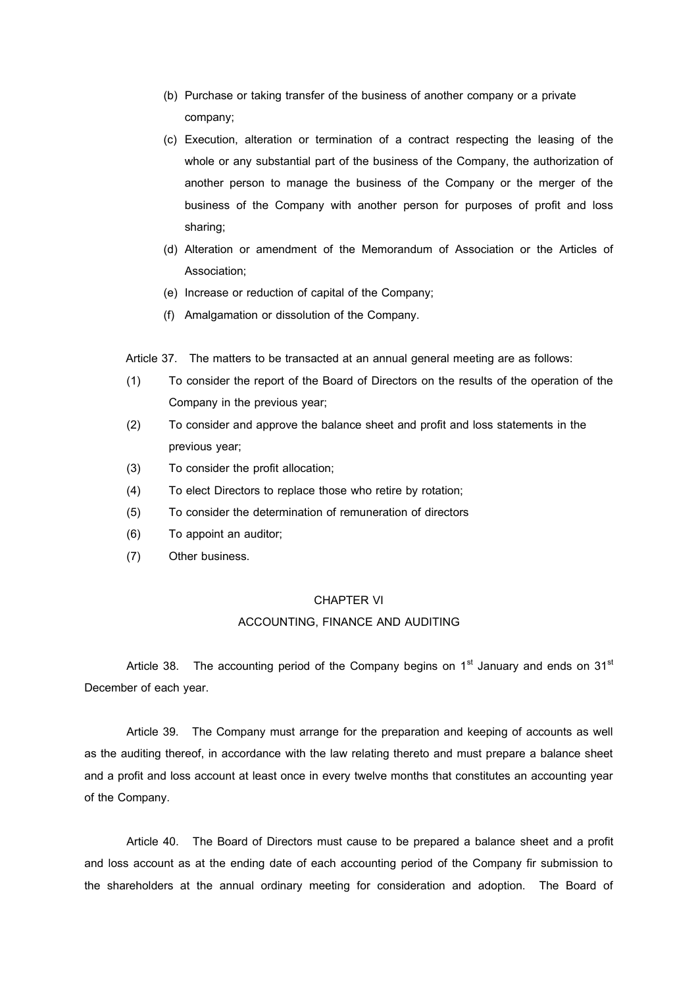- (b) Purchase or taking transfer of the business of another company or a private company;
- (c) Execution, alteration or termination of a contract respecting the leasing of the whole or any substantial part of the business of the Company, the authorization of another person to manage the business of the Company or the merger of the business of the Company with another person for purposes of profit and loss sharing;
- (d) Alteration or amendment of the Memorandum of Association or the Articles of Association;
- (e) Increase or reduction of capital of the Company;
- (f) Amalgamation or dissolution of the Company.
- Article 37. The matters to be transacted at an annual general meeting are as follows:
- (1) To consider the report of the Board of Directors on the results of the operation of the Company in the previous year;
- (2) To consider and approve the balance sheet and profit and loss statements in the previous year;
- (3) To consider the profit allocation;
- (4) To elect Directors to replace those who retire by rotation;
- (5) To consider the determination of remuneration of directors
- (6) To appoint an auditor;
- (7) Other business.

# CHAPTER VI

# ACCOUNTING, FINANCE AND AUDITING

Article 38. The accounting period of the Company begins on  $1<sup>st</sup>$  January and ends on  $31<sup>st</sup>$ December of each year.

Article 39. The Company must arrange for the preparation and keeping of accounts as well as the auditing thereof, in accordance with the law relating thereto and must prepare a balance sheet and a profit and loss account at least once in every twelve months that constitutes an accounting year of the Company.

Article 40. The Board of Directors must cause to be prepared a balance sheet and a profit and loss account as at the ending date of each accounting period of the Company fir submission to the shareholders at the annual ordinary meeting for consideration and adoption. The Board of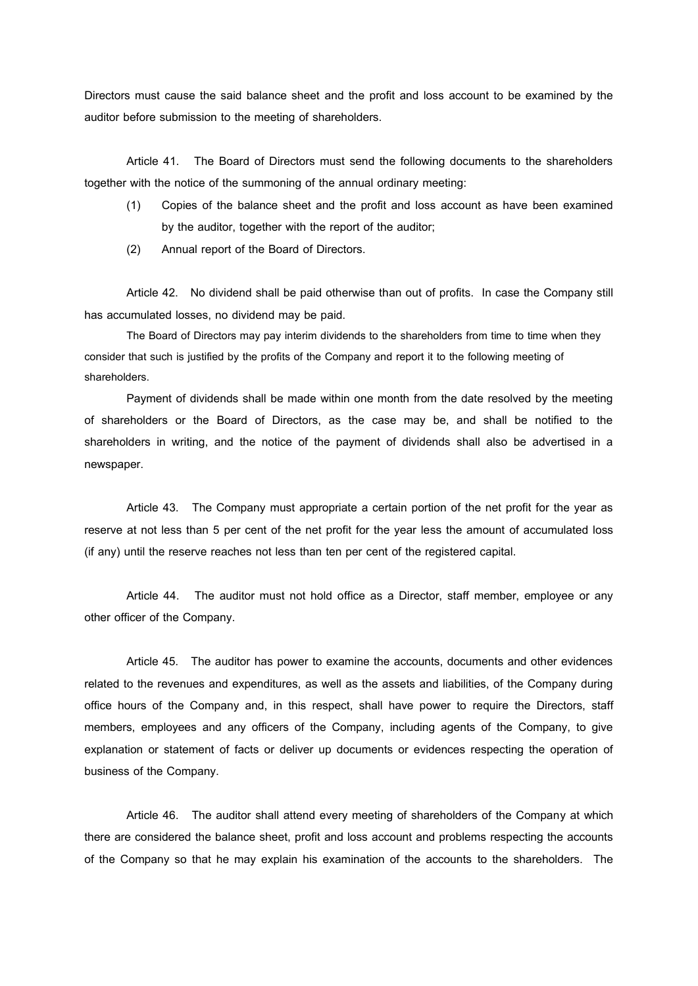Directors must cause the said balance sheet and the profit and loss account to be examined by the auditor before submission to the meeting of shareholders.

Article 41. The Board of Directors must send the following documents to the shareholders together with the notice of the summoning of the annual ordinary meeting:

- (1) Copies of the balance sheet and the profit and loss account as have been examined by the auditor, together with the report of the auditor;
- (2) Annual report of the Board of Directors.

Article 42. No dividend shall be paid otherwise than out of profits. In case the Company still has accumulated losses, no dividend may be paid.

The Board of Directors may pay interim dividends to the shareholders from time to time when they consider that such is justified by the profits of the Company and report it to the following meeting of shareholders.

Payment of dividends shall be made within one month from the date resolved by the meeting of shareholders or the Board of Directors, as the case may be, and shall be notified to the shareholders in writing, and the notice of the payment of dividends shall also be advertised in a newspaper.

Article 43. The Company must appropriate a certain portion of the net profit for the year as reserve at not less than 5 per cent of the net profit for the year less the amount of accumulated loss (if any) until the reserve reaches not less than ten per cent of the registered capital.

Article 44. The auditor must not hold office as a Director, staff member, employee or any other officer of the Company.

Article 45. The auditor has power to examine the accounts, documents and other evidences related to the revenues and expenditures, as well as the assets and liabilities, of the Company during office hours of the Company and, in this respect, shall have power to require the Directors, staff members, employees and any officers of the Company, including agents of the Company, to give explanation or statement of facts or deliver up documents or evidences respecting the operation of business of the Company.

Article 46. The auditor shall attend every meeting of shareholders of the Company at which there are considered the balance sheet, profit and loss account and problems respecting the accounts of the Company so that he may explain his examination of the accounts to the shareholders. The